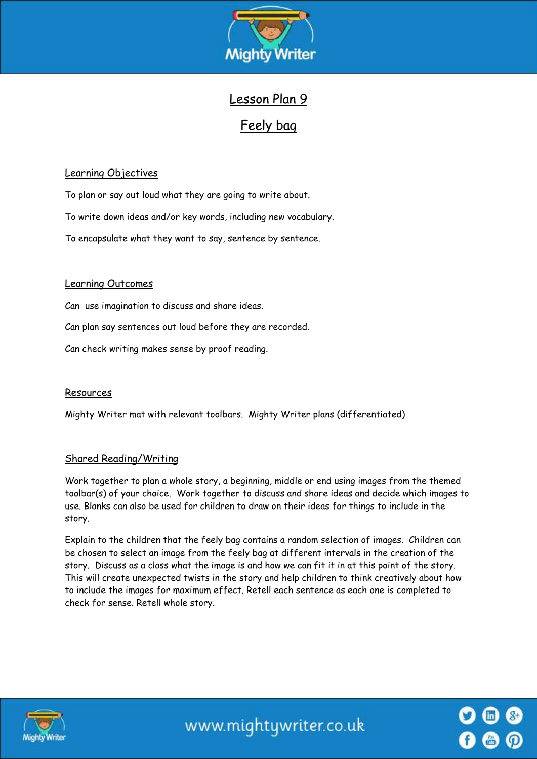

# Lesson Plan 9

# Feely bag

## Learning Objectives

To plan or say out loud what they are going to write about.

To write down ideas and/or key words, including new vocabulary.

To encapsulate what they want to say, sentence by sentence.

## Learning Outcomes

Can use imagination to discuss and share ideas.

Can plan say sentences out loud before they are recorded.

Can check writing makes sense by proof reading.

## Resources

Mighty Writer mat with relevant toolbars. Mighty Writer plans (differentiated)

## Shared Reading/Writing

Work together to plan a whole story, a beginning, middle or end using images from the themed toolbar(s) of your choice. Work together to discuss and share ideas and decide which images to use. Blanks can also be used for children to draw on their ideas for things to include in the story.

Explain to the children that the feely bag contains a random selection of images. Children can be chosen to select an image from the feely bag at different intervals in the creation of the story. Discuss as a class what the image is and how we can fit it in at this point of the story. This will create unexpected twists in the story and help children to think creatively about how to include the images for maximum effect. Retell each sentence as each one is completed to check for sense. Retell whole story.



www.mightywriter.co.uk